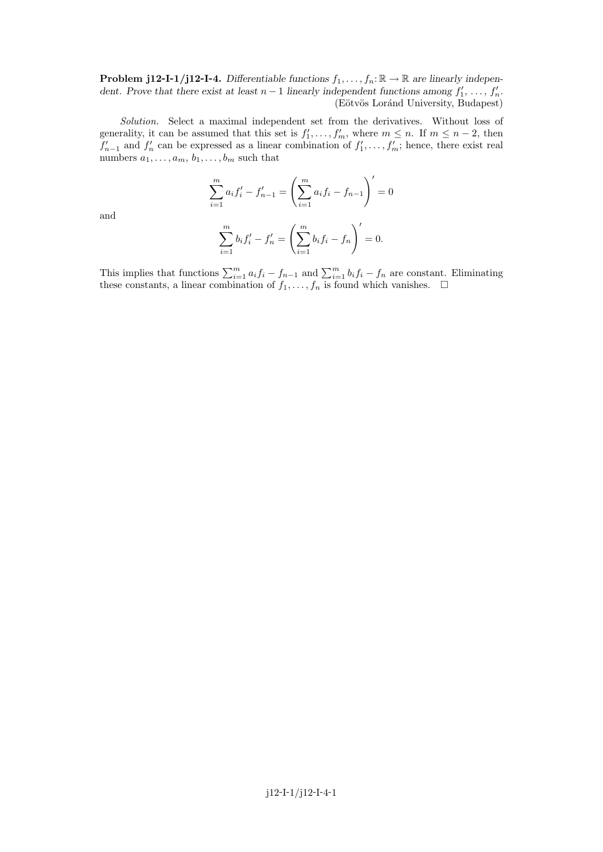**Problem j12-I-1/j12-I-4.** Differentiable functions  $f_1, \ldots, f_n: \mathbb{R} \to \mathbb{R}$  are linearly independent. Prove that there exist at least  $n-1$  linearly independent functions among  $f'_1, \ldots, f'_n$ . (Eötvös Loránd University, Budapest)

Solution. Select a maximal independent set from the derivatives. Without loss of generality, it can be assumed that this set is  $f'_1, \ldots, f'_m$ , where  $m \leq n$ . If  $m \leq n-2$ , then  $f'_{n-1}$  and  $f'_{n}$  can be expressed as a linear combination of  $f'_{1}, \ldots, f'_{m}$ ; hence, there exist real numbers  $a_1, \ldots, a_m, b_1, \ldots, b_m$  such that

$$
\sum_{i=1}^{m} a_i f'_i - f'_{n-1} = \left(\sum_{i=1}^{m} a_i f_i - f_{n-1}\right)' = 0
$$

and

$$
\sum_{i=1}^{m} b_i f'_i - f'_n = \left(\sum_{i=1}^{m} b_i f_i - f_n\right)' = 0.
$$

This implies that functions  $\sum_{i=1}^{m} a_i f_i - f_{n-1}$  and  $\sum_{i=1}^{m} b_i f_i - f_n$  are constant. Eliminating these constants, a linear combination of  $f_1, \ldots, f_n$  is found which vanishes.  $\Box$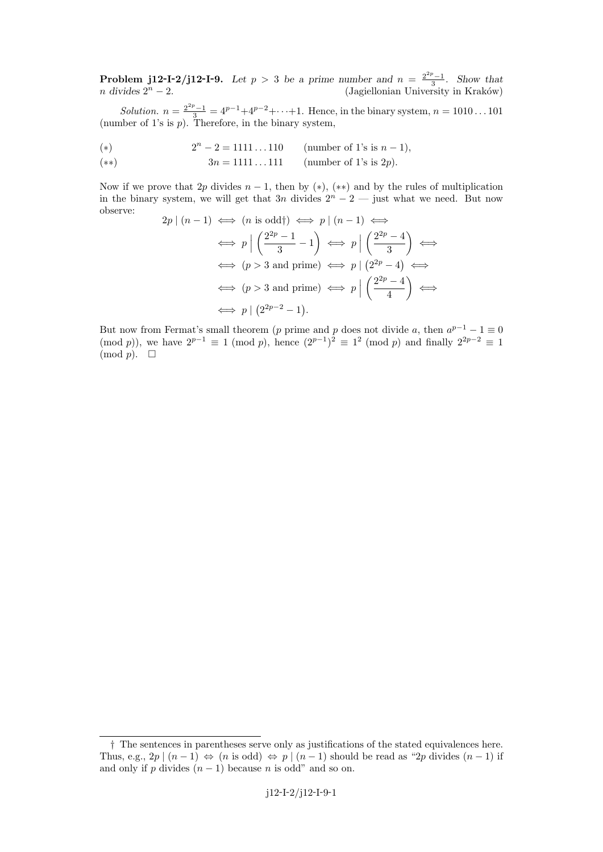**Problem j12-I-2/j12-I-9.** Let  $p > 3$  be a prime number and  $n = \frac{2^{2p}-1}{3}$ . Show that  $n \text{ divides } 2^n - 2.$  (Jagiellonian University in Kraków)

Solution.  $n = \frac{2^{2p}-1}{3} = 4^{p-1}+4^{p-2}+\cdots+1$ . Hence, in the binary system,  $n = 1010...101$ (number of 1's is  $p$ ). Therefore, in the binary system,

- (\*)  $2^n 2 = 1111...110$  (number of 1's is  $n 1$ ),
- (\*\*)  $3n = 1111...111$  (number of 1's is 2p).

Now if we prove that  $2p$  divides  $n-1$ , then by  $(*)$ ,  $(**)$  and by the rules of multiplication in the binary system, we will get that 3n divides  $2^{n} - 2$  — just what we need. But now observe:

$$
2p | (n - 1) \iff (n \text{ is odd}) \iff p | (n - 1) \iff
$$
  
\n
$$
\iff p | \left( \frac{2^{2p} - 1}{3} - 1 \right) \iff p | \left( \frac{2^{2p} - 4}{3} \right) \iff
$$
  
\n
$$
\iff (p > 3 \text{ and prime}) \iff p | \left( 2^{2p} - 4 \right) \iff
$$
  
\n
$$
\iff (p > 3 \text{ and prime}) \iff p | \left( \frac{2^{2p} - 4}{4} \right) \iff
$$
  
\n
$$
\iff p | \left( 2^{2p-2} - 1 \right).
$$

But now from Fermat's small theorem (p prime and p does not divide a, then  $a^{p-1} - 1 \equiv 0$ (mod p)), we have  $2^{p-1} \equiv 1 \pmod{p}$ , hence  $(2^{p-1})^2 \equiv 1^2 \pmod{p}$  and finally  $2^{2p-2} \equiv 1$  $\pmod{p}$ .  $\Box$ 

<sup>†</sup> The sentences in parentheses serve only as justifications of the stated equivalences here. Thus, e.g.,  $2p \mid (n-1) \Leftrightarrow (n \text{ is odd}) \Leftrightarrow p \mid (n-1) \text{ should be read as "2p divides } (n-1) \text{ if }$ and only if p divides  $(n-1)$  because n is odd" and so on.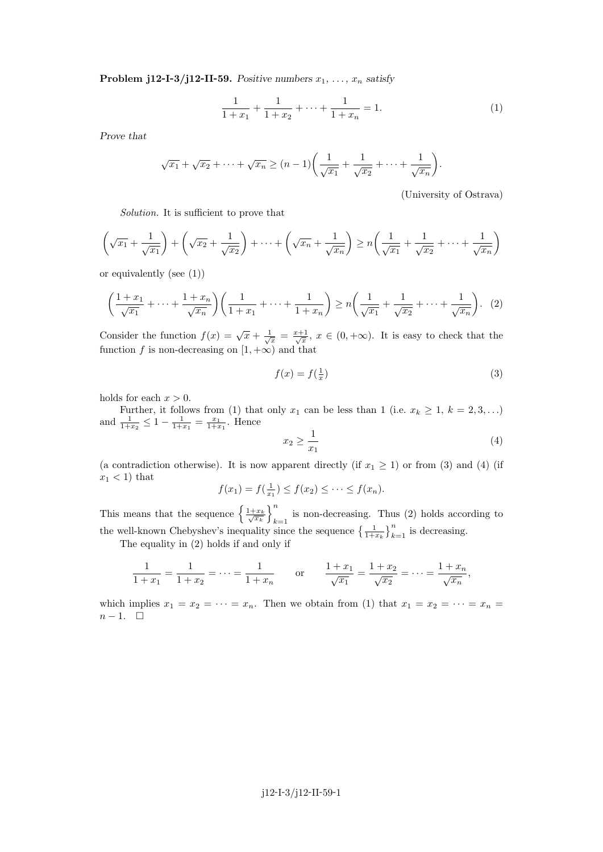**Problem j12-I-3/j12-II-59.** Positive numbers  $x_1, \ldots, x_n$  satisfy

$$
\frac{1}{1+x_1} + \frac{1}{1+x_2} + \dots + \frac{1}{1+x_n} = 1.
$$
 (1)

Prove that

$$
\sqrt{x_1} + \sqrt{x_2} + \dots + \sqrt{x_n} \ge (n-1) \left( \frac{1}{\sqrt{x_1}} + \frac{1}{\sqrt{x_2}} + \dots + \frac{1}{\sqrt{x_n}} \right).
$$

(University of Ostrava)

Solution. It is sufficient to prove that

$$
\left(\sqrt{x_1} + \frac{1}{\sqrt{x_1}}\right) + \left(\sqrt{x_2} + \frac{1}{\sqrt{x_2}}\right) + \dots + \left(\sqrt{x_n} + \frac{1}{\sqrt{x_n}}\right) \ge n\left(\frac{1}{\sqrt{x_1}} + \frac{1}{\sqrt{x_2}} + \dots + \frac{1}{\sqrt{x_n}}\right)
$$

or equivalently (see (1))

$$
\left(\frac{1+x_1}{\sqrt{x_1}} + \dots + \frac{1+x_n}{\sqrt{x_n}}\right)\left(\frac{1}{1+x_1} + \dots + \frac{1}{1+x_n}\right) \ge n\left(\frac{1}{\sqrt{x_1}} + \frac{1}{\sqrt{x_2}} + \dots + \frac{1}{\sqrt{x_n}}\right). (2)
$$

Consider the function  $f(x) = \sqrt{x} + \frac{1}{\sqrt{x}} = \frac{x+1}{\sqrt{x}}$ ,  $x \in (0, +\infty)$ . It is easy to check that the function f is non-decreasing on  $[1, +\infty)$  and that

$$
f(x) = f\left(\frac{1}{x}\right) \tag{3}
$$

holds for each  $x > 0$ .

Further, it follows from (1) that only  $x_1$  can be less than 1 (i.e.  $x_k \geq 1$ ,  $k = 2, 3, \ldots$ ) and  $\frac{1}{1+x_2} \leq 1 - \frac{1}{1+x_1} = \frac{x_1}{1+x_1}$ . Hence

$$
x_2 \ge \frac{1}{x_1} \tag{4}
$$

(a contradiction otherwise). It is now apparent directly (if  $x_1 \geq 1$ ) or from (3) and (4) (if  $x_1 < 1$ ) that

$$
f(x_1) = f\left(\frac{1}{x_1}\right) \le f(x_2) \le \cdots \le f(x_n).
$$

This means that the sequence  $\left\{\frac{1+x_k}{\sqrt{x_k}}\right\}_k^n$ is non-decreasing. Thus (2) holds according to  $k=1$ the well-known Chebyshev's inequality since the sequence  $\left\{\frac{1}{1+x_k}\right\}_{k=1}^n$  is decreasing.

The equality in (2) holds if and only if

$$
\frac{1}{1+x_1} = \frac{1}{1+x_2} = \dots = \frac{1}{1+x_n} \qquad \text{or} \qquad \frac{1+x_1}{\sqrt{x_1}} = \frac{1+x_2}{\sqrt{x_2}} = \dots = \frac{1+x_n}{\sqrt{x_n}},
$$

which implies  $x_1 = x_2 = \cdots = x_n$ . Then we obtain from (1) that  $x_1 = x_2 = \cdots = x_n$  $n-1.$   $\Box$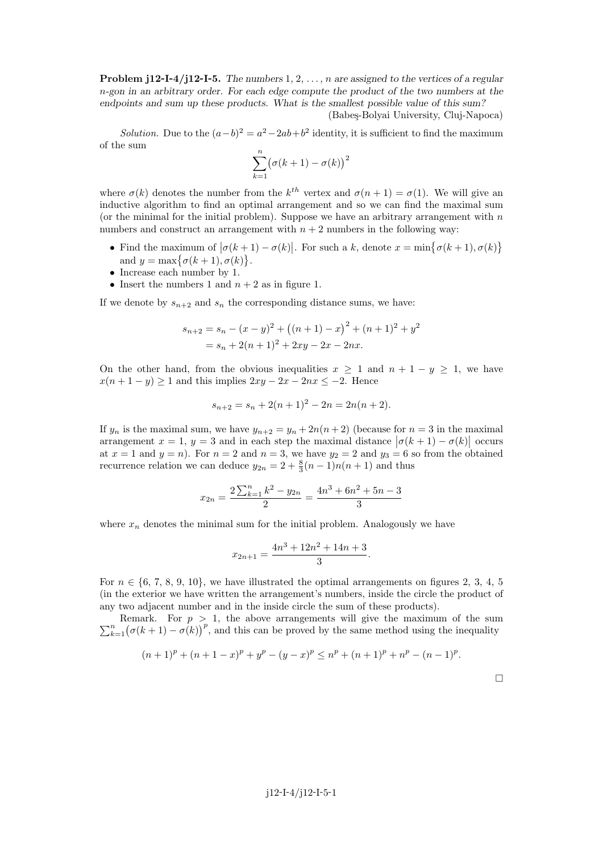**Problem j12-I-4/j12-I-5.** The numbers  $1, 2, \ldots, n$  are assigned to the vertices of a regular n-gon in an arbitrary order. For each edge compute the product of the two numbers at the endpoints and sum up these products. What is the smallest possible value of this sum?

(Babeş-Bolyai University, Cluj-Napoca)

Solution. Due to the  $(a-b)^2 = a^2 - 2ab + b^2$  identity, it is sufficient to find the maximum of the sum

$$
\sum_{k=1}^{n} (\sigma(k+1) - \sigma(k))^2
$$

where  $\sigma(k)$  denotes the number from the  $k^{th}$  vertex and  $\sigma(n+1) = \sigma(1)$ . We will give an inductive algorithm to find an optimal arrangement and so we can find the maximal sum (or the minimal for the initial problem). Suppose we have an arbitrary arrangement with  $n$ numbers and construct an arrangement with  $n + 2$  numbers in the following way:

- Find the maximum of  $|\sigma(k+1) \sigma(k)|$ . For such a k, denote  $x = \min\{\sigma(k+1), \sigma(k)\}\$ and  $y = \max\{\sigma(k+1), \sigma(k)\}.$
- Increase each number by 1.
- Insert the numbers 1 and  $n + 2$  as in figure 1.

If we denote by  $s_{n+2}$  and  $s_n$  the corresponding distance sums, we have:

$$
s_{n+2} = s_n - (x - y)^2 + ((n + 1) - x)^2 + (n + 1)^2 + y^2
$$
  
=  $s_n + 2(n + 1)^2 + 2xy - 2x - 2nx$ .

On the other hand, from the obvious inequalities  $x > 1$  and  $n + 1 - y > 1$ , we have  $x(n+1-y) \ge 1$  and this implies  $2xy - 2x - 2nx \le -2$ . Hence

$$
s_{n+2} = s_n + 2(n+1)^2 - 2n = 2n(n+2).
$$

If  $y_n$  is the maximal sum, we have  $y_{n+2} = y_n + 2n(n+2)$  (because for  $n = 3$  in the maximal arrangement  $x = 1, y = 3$  and in each step the maximal distance  $|\sigma(k+1) - \sigma(k)|$  occurs at  $x = 1$  and  $y = n$ ). For  $n = 2$  and  $n = 3$ , we have  $y_2 = 2$  and  $y_3 = 6$  so from the obtained recurrence relation we can deduce  $y_{2n} = 2 + \frac{8}{3}(n-1)n(n+1)$  and thus

$$
x_{2n} = \frac{2\sum_{k=1}^{n} k^2 - y_{2n}}{2} = \frac{4n^3 + 6n^2 + 5n - 3}{3}
$$

where  $x_n$  denotes the minimal sum for the initial problem. Analogously we have

$$
x_{2n+1} = \frac{4n^3 + 12n^2 + 14n + 3}{3}.
$$

For  $n \in \{6, 7, 8, 9, 10\}$ , we have illustrated the optimal arrangements on figures 2, 3, 4, 5 (in the exterior we have written the arrangement's numbers, inside the circle the product of any two adjacent number and in the inside circle the sum of these products).

 $\sum_{k=1}^{n} (\sigma(k+1) - \sigma(k))^p$ , and this can be proved by the same method using the inequality Remark. For  $p > 1$ , the above arrangements will give the maximum of the sum

$$
(n+1)^p + (n+1-x)^p + y^p - (y-x)^p \le n^p + (n+1)^p + n^p - (n-1)^p.
$$

 $\Box$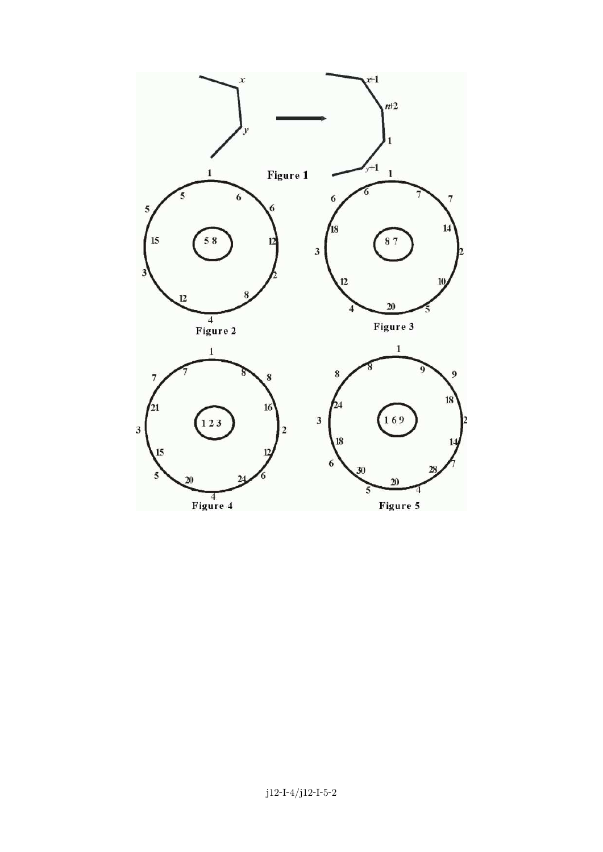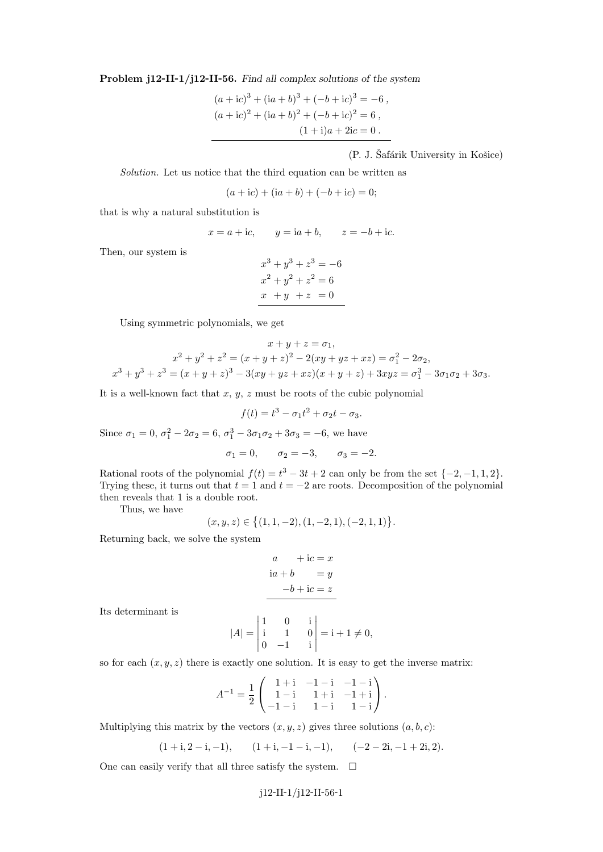Problem j12-II-1/j12-II-56. Find all complex solutions of the system

$$
(a + ic)3 + (ia + b)3 + (-b + ic)3 = -6,
$$
  
\n
$$
(a + ic)2 + (ia + b)2 + (-b + ic)2 = 6,
$$
  
\n
$$
(1 + i)a + 2ic = 0.
$$

 $(P. J. Šafárik University in Košice)$ 

Solution. Let us notice that the third equation can be written as

$$
(a + ic) + (ia + b) + (-b + ic) = 0;
$$

that is why a natural substitution is

$$
x = a + ic, \qquad y = ia + b, \qquad z = -b + ic.
$$

Then, our system is

$$
x3 + y3 + z3 = -6
$$
  

$$
x2 + y2 + z2 = 6
$$
  

$$
x + y + z = 0
$$

Using symmetric polynomials, we get

$$
x + y + z = \sigma_1,
$$
  
\n
$$
x^2 + y^2 + z^2 = (x + y + z)^2 - 2(xy + yz + xz) = \sigma_1^2 - 2\sigma_2,
$$
  
\n
$$
x^3 + y^3 + z^3 = (x + y + z)^3 - 3(xy + yz + xz)(x + y + z) + 3xyz = \sigma_1^3 - 3\sigma_1\sigma_2 + 3\sigma_3.
$$

It is a well-known fact that  $x, y, z$  must be roots of the cubic polynomial

$$
f(t) = t^3 - \sigma_1 t^2 + \sigma_2 t - \sigma_3.
$$

Since  $\sigma_1 = 0$ ,  $\sigma_1^2 - 2\sigma_2 = 6$ ,  $\sigma_1^3 - 3\sigma_1\sigma_2 + 3\sigma_3 = -6$ , we have

$$
\sigma_1 = 0
$$
,  $\sigma_2 = -3$ ,  $\sigma_3 = -2$ .

Rational roots of the polynomial  $f(t) = t^3 - 3t + 2$  can only be from the set  $\{-2, -1, 1, 2\}$ . Trying these, it turns out that  $t = 1$  and  $t = -2$  are roots. Decomposition of the polynomial then reveals that 1 is a double root.

Thus, we have

$$
(x, y, z) \in \{(1, 1, -2), (1, -2, 1), (-2, 1, 1)\}.
$$

Returning back, we solve the system

$$
a + ic = x
$$
  
\n
$$
ia + b = y
$$
  
\n
$$
-b + ic = z
$$

Its determinant is

$$
|A| = \begin{vmatrix} 1 & 0 & i \\ i & 1 & 0 \\ 0 & -1 & i \end{vmatrix} = i + 1 \neq 0,
$$

so for each  $(x, y, z)$  there is exactly one solution. It is easy to get the inverse matrix:

$$
A^{-1} = \frac{1}{2} \begin{pmatrix} 1+i & -1-i & -1-i \\ 1-i & 1+i & -1+i \\ -1-i & 1-i & 1-i \end{pmatrix}.
$$

Multiplying this matrix by the vectors  $(x, y, z)$  gives three solutions  $(a, b, c)$ :

$$
(1+i,2-i,-1), \qquad (1+i,-1-i,-1), \qquad (-2-2i,-1+2i,2).
$$

One can easily verify that all three satisfy the system.  $\Box$ 

$$
j12
$$
-II-1/j12-II-56-1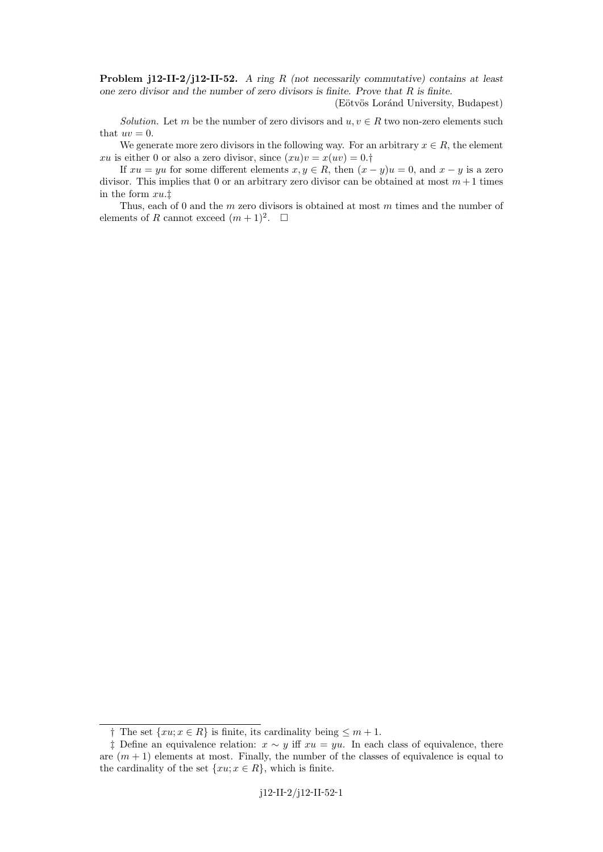**Problem j12-II-2/j12-II-52.** A ring R (not necessarily commutative) contains at least one zero divisor and the number of zero divisors is finite. Prove that  $R$  is finite.

(Eötvös Loránd University, Budapest)

Solution. Let m be the number of zero divisors and  $u, v \in R$  two non-zero elements such that  $uv = 0$ .

We generate more zero divisors in the following way. For an arbitrary  $x \in R$ , the element xu is either 0 or also a zero divisor, since  $(xu)v = x(uv) = 0.$ 

If  $xu = yu$  for some different elements  $x, y \in R$ , then  $(x - y)u = 0$ , and  $x - y$  is a zero divisor. This implies that 0 or an arbitrary zero divisor can be obtained at most  $m+1$  times in the form xu.‡

Thus, each of 0 and the m zero divisors is obtained at most m times and the number of elements of R cannot exceed  $(m+1)^2$ .  $\Box$ 

<sup>†</sup> The set  $\{xu; x \in R\}$  is finite, its cardinality being ≤  $m + 1$ .

<sup>‡</sup> Define an equivalence relation:  $x \sim y$  iff  $xu = yu$ . In each class of equivalence, there are  $(m + 1)$  elements at most. Finally, the number of the classes of equivalence is equal to the cardinality of the set  $\{xu; x \in R\}$ , which is finite.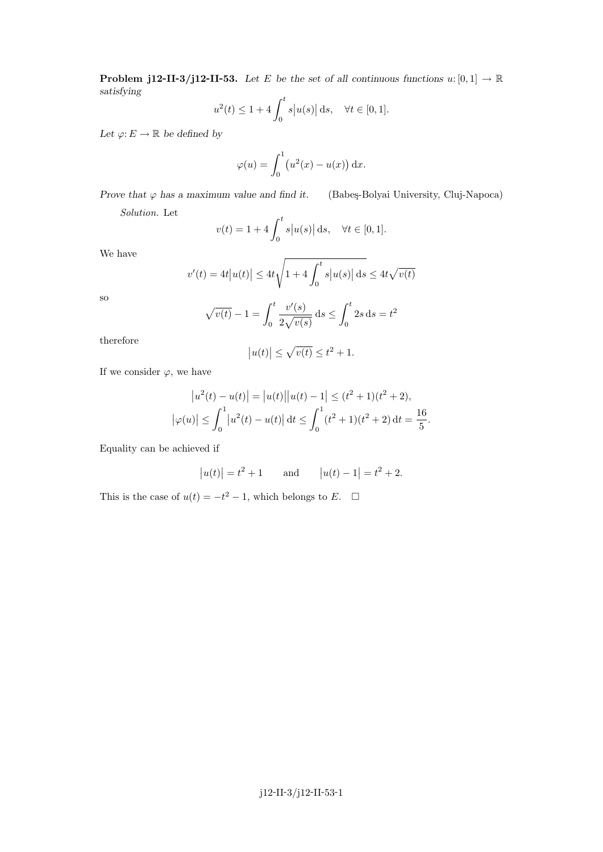**Problem j12-II-3/j12-II-53.** Let E be the set of all continuous functions  $u:[0,1] \to \mathbb{R}$ satisfying

$$
u^{2}(t) \le 1 + 4 \int_{0}^{t} s|u(s)| ds, \quad \forall t \in [0, 1].
$$

Let  $\varphi: E \to \mathbb{R}$  be defined by

$$
\varphi(u) = \int_0^1 \left( u^2(x) - u(x) \right) \mathrm{d}x.
$$

Prove that  $\varphi$  has a maximum value and find it. (Babeş-Bolyai University, Cluj-Napoca) Solution. Let

$$
v(t) = 1 + 4 \int_0^t s|u(s)| ds, \quad \forall t \in [0, 1].
$$

We have

$$
v'(t) = 4t|u(t)| \le 4t\sqrt{1+4\int_0^t s|u(s)| \,ds} \le 4t\sqrt{v(t)}
$$

so

$$
\sqrt{v(t)} - 1 = \int_0^t \frac{v'(s)}{2\sqrt{v(s)}} ds \le \int_0^t 2s ds = t^2
$$

therefore

$$
|u(t)| \le \sqrt{v(t)} \le t^2 + 1.
$$

If we consider  $\varphi$ , we have

$$
|u^{2}(t) - u(t)| = |u(t)||u(t) - 1| \leq (t^{2} + 1)(t^{2} + 2),
$$
  

$$
|\varphi(u)| \leq \int_{0}^{1} |u^{2}(t) - u(t)| dt \leq \int_{0}^{1} (t^{2} + 1)(t^{2} + 2) dt = \frac{16}{5}.
$$

Equality can be achieved if

$$
|u(t)| = t^2 + 1
$$
 and  $|u(t) - 1| = t^2 + 2$ .

This is the case of  $u(t) = -t^2 - 1$ , which belongs to E.  $\Box$